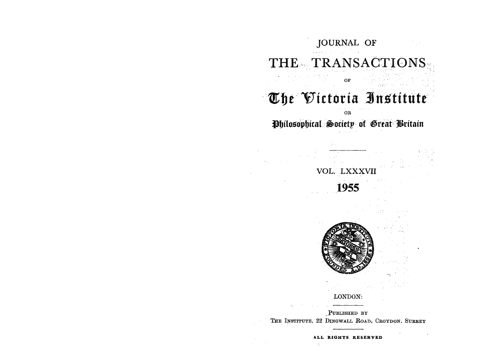

**ALL RIGHTS RESERVED**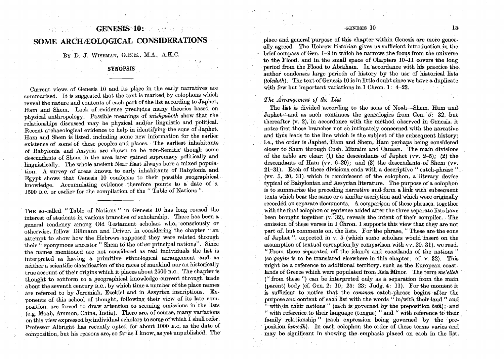# GENESIS 10: SOME ARCHÆOLOGICAL CONSIDERATIONS

By D. J.WISEMAN, O.RE., M.A., A.K.C.

# **SYNOPSIS**

Current views of Genesis  $10$  and its place in the early narratives are summarized. It is suggested that the text is marked by colophons which reveal the nature and contents of each part of the list according to Japhet, Ham and Shem. Lack of evidence precludes many theories based on physical anthropology. Possible meanings of *mishpahoth* show that the relationships discussed may be physical and/Or linguistic and political. Recent archaeological evidence to help in identifying the sons of Japhet, Ham and Shem is listed, including some new information for the earlier existence of some of these peoples and places. The earliest inhabitants of Babylonia and Assyria are shown to be non-Semitic though some descendants of Shem in the area later gained supremacy politically and linguistically. The whole ancient Near East always bore a mixed population. A survey of areas known to early inhabitants of Babylonia and Egypt shows that Genesis 10 conforms to their possible geographical knowledge. Accumulating evidence therefore points to a' date of *c.*  1500 B.C. or earlier for the compilation of the" Table of Nations".

THE so-called "Table of Nations" in Genesis 10 has long roused the interest of students in various branches of scholarship. There has been a general tendency among Old Testament scholars who, consciously or otherwise, follow Dillmann and Driver, in considering the chapter "an attempt to show how the Hebrews supposed they were related through their " eponymous ancestor" Shem to the other principal nations". Since the names mentioned are not considered as real individuals the list is interpreted as having a primitive ethnological arrangement and as neither a scientific classification of the races of mankind nor an historically true account of their origins which it places about 2500 B.C. The chapter is thought to conform to a geographical knowledge current through trade about the seventh century B.C., by which time a number of the place names are referred to by Jeremiah, Ezekiel and in Assyrian inscriptions. Exponents of this school of thought, following their view of its late composition, are forced to draw attention to seeming omissions in the lists  $(e.g. Moab, Ammon, China, India)$ . There are, of course, many variations on this view expressed by individual scholars to some of which I shall refer. Professor Albright has recently opted for about 1000 B.C. as the date of composition, but his reasons are, so far as I know, as yet unpublished. The

## GENESIS  $10$  15

place and general purpose of this chapter within Genesis are more generally agreed. The Hebrew historian gives us sufficient introduction in the  $b$ rief compass of Gen.  $1-9$  in which he narrows the focus from the universe to the Flood, and in the small space of Chapters 10-11 covers the long period from the Flood to Abraham. In accordance with his practice the. author condenses large periods of history by the use of historical lists *(toledoth).* The text of Genesis 10 is in little doubt since we have a duplicate with few but important variations in 1 Chron. 1: 4-23.

*The Arrangement of the List* 

The list is divided'according to the sons of Noah-Shem, Ham and Japhet—and as such continues the genealogies from Gen. 5: 32, but thereafter (v. 2), in accordance with the method observed in Genesis, it notes first those branches not so intimately concerned with the narrative and thus leads to the line which is the subject of the subsequent history; i.e., the order is Japhet, Ham and Shem, Ham perhaps being considered closer to Shem through Cush, Mizraim and Canaan. The main divisions of the table are clear: (1) the descendants of Japhet (vv.  $2-5$ ); (2) the descendants of Ham (vv. 6-20); and (3) the descendants of Shem (vv. 21-31). Each of these divisions ends with a descriptive "catch-phrase" (vv. 5, 20, 31) which is reminiscent of the colophon, a literary device typical of Babylonian and Assyrian literature. The purpose of a colophon is to summarize the preceding narrative and forma link with subsequent texts which bear the same or a similar ascription and which were originally recorded on separate documents. A comparison of these phrases, together with the final colophon or sentence added after the three separate lists have been brought together  $(v, 32)$ , reveals the intent of their compiler. The omission of these verses in 1 Chron. 1 supports this view that they are not part of, but comments on, the lists. For the phrase, "These are the sons of Japhet ", expected in v. 5 (which some scholars would insert on the assumption of textual corruption by comparison with vv. 20, 31), we read, "From these separated off the islands and coastlands of the nations" (so *goyim* is to be translated elsewhere in this chapter; cf. v. 32). This might be a reference to additional territory, such as the European coastlands of Greece which were populated from Asia Minor. The term  $me$ 'elleh (" from these") can be interpreted only as a separation from the main (parent) body (cf. Gen. 2:  $10; 25; 23; Judg. 4; 11$ ). For the moment it is sufficient to notice that the *common* catch-phrase begins after the purpose and content of each list with the words " in/with their land " and  $\cdots$  with/in their nations" (each is governed by the preposition beth); and ". with reference to their language (tongue) " and" with reference to their family relationship" (each expression being governed by the preposition *larriedh).* In each colophon the order of these terms varies and may be significant in showing the emphasis placed on each in the list.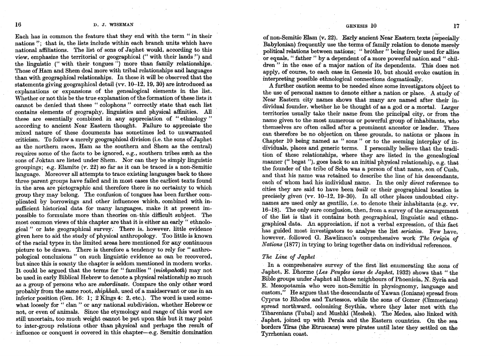Each has in common the feature that they end with the term " in their nations ": that is, the lists include within each branch units which have national affiliations. The list of sons of Japhet would, according to this view, emphasize the territorial or geographical (" with their lands") and the linguistic (" with their tongues") more than family relationships. Those of Ham and Shem deal more with tribal relationships and languages than with geographical relationships. In these it will be observed that the statements giving geographical detail (vv.  $10-12$ , 19, 30) are introduced as explanations or expansions of the genealogical elements in the list. Whether or not this be the true explanation of the formation of these lists it cannot be denied that these" colophons" correctly state that each list contains elements of geography, linguistics and physical affinities. All these are essentially combined. in any appreciation of "ethnology" according to ancient Near Eastern thought. Failure to appreciate the mixed nature of these documents has sometimes led to unwarranted criticism. To follow a merely geographical division (i.e. the sons of Japhet as the northern races, Ham as. the southern and Shem as the central) requires some of the facts to be ignored, e.g., southern tribes such as the sons of Joktan are listed under Shem. Nor can they be simply linguistic groupings; e.g. Elamite  $(v. 22)$  so far as it can be traced is a non-Semitic language. Moreover all attempts to trace existing languages back to these three parent groups have failed and in most cases the earliest texts found in the area are pictographic and therefore there is no certainty to which group they may belong. The confusion of tongues has been further com-~licared by borrowings and other influences which, combined with insufficient historical data for many languages, make it at present impossible to formulate more than theories on·this difficult subject. The most common views of this chapter are that it is either an early " ethnological" or late geographical survey: There is, however, little evidence· given here to aid the study of physical anthropology. Too little is known of the racial types in the limited areas here mentioned for any continuous picture to be drawn. There is therefore a tendency to rely for "anthropological conclusions " on such linguistic evidence as can be recovered, but since this is scanty the chapter is seldom mentioned in modern works. It could be argued that the terms for "families" *(mishpahoth)* may not be used in early Biblical Hebrew to denote a physical relationship so much as a group of persons who are *subordinate.* Compare the only other word probably from the same root, *shiphkah,* used of a maidservant or one in an inferior position (Gen. 16: 1; 2 Kings 4: 2, etc.). The word is used somewhat loosely for " clan" or any national subdivision, whether Hebrew or not, or even of animals. Since the etymology and range of this word are still uncertain, too much weight cannot be put upon this but it may point to inrer-group. relations other than physical and perhaps the result of  $\blacksquare$  influence or conquest is covered in this chapter-e.g. Semitic domination

#### GENESIS 10 17

of non-Semitic Elam (v. 22). Early ancient Near Eastern texts (especially Babylonian) frequently use the terms of family relation to denote merely political relations between nations; "brother" being freely used for allies or equals, " father " by a dependent of a more powerful nation and " children" in the case of a major nation of its dependents. This does not apply, of course, to each case in Genesis 10, but should evoke caution in interpreting possible ethnological connections dogmatically.

A further caution seems to be needed since some investigators object to the use of personal names to denote either a nation or place. A study of Near Eastern city names shows that many are named after their individual founder, whether he be thought of as a god or a mortal. Larger territories usually take their name from the principal city, or from the name given to the most numerous or powerful group of inhabitants, who themselves are often called after a prominent ancestor or leader. There can therefore be no objection on these grounds, to nations or places in Chapter 10 being named as "sons" or to the seeming interplay of individuals, places and generic terms. I personally believe that the tradition of these relationships, where they are listed in the genealogical manner (" begat "), goes back to an initial physical relationship, e.g. that the founder of the tribe of Seba was a person of that name, son of Cush, and that his name was retained to describe the line of his descendants, each of whom had his individual name. In the only *direct* reference to cities they are said to have been *built* or their geographical location is precisely given (vv. 10-12, 19-30). In all other places undoubted citynames are used only as gentilic, i.e. to denote their inhabitants (e.g. vv.  $16-18$ ). The only sure conclusion, then, from a survey of the arrangement of the list is that it contains both geographical, linguistic and ethnographical data. An appreciation, if not a verbal expression, of this fact has guided most investigators to analyse the list *seriatim.* Few have, however, followed G. Rawlinson's comprehensive work *The Origin of Nations* (1877) in trying to bring together data on individual references.

#### *The Line of Japhet*

In a comprehensive survey of the first list enumerating the sons of Japhet, E. Dhorme *(Les Peuples issus de Japhet, 1932)* shows that "the Bible groups under Japhet all those neighbours of Phoenicia, N. Syria and E. Mesopotamia who were non-Semitic in physiognomy, language and custom." He argues that the descendants of  $\bar{Y}a$ wan (Ionians) spread from Cyprus to Rhodes and Tartessos, while the sons of Gomer (Cimmerians) spread northward, colonizing Scythia, where they later met with the Tibarenians (Tubal) and Mushki (Meshek). The Medes, also linked with Japhet, joined up with Persia and the Eastern countries. On the sea borders Tiras (the Etruscans) were pirates until later they settled on the Tyrrhenian coast. .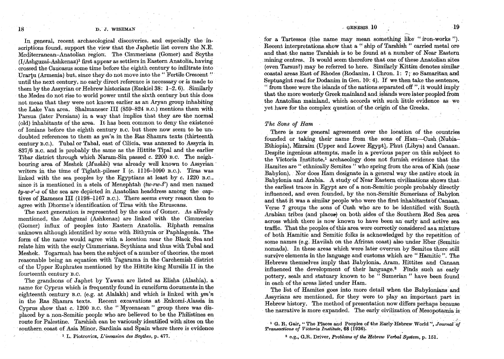#### . GENESIS  $10$  19

#### 18 D. J. WISEMAN

In general, recent archaeological discoveries, and especially the inscriptions found, support the view that the Japhetic list covers the N.E. Mediterranean-Anatolian region. The Cimmerians (Gomer) and Scyths  $(I/Ashquzai-Ashkenaz)<sup>1</sup> first appear as settles in Eastern Anatolia, having$ crossed the Caucasus some time before the eIghth century to mfiltrate mto Urartu (Armenia) but, since they do not move into the "Fertile Crescent" until the next century, no early direct reference is necessary or is made to them by the Assyrian or Hebrew historians (Ezekiel 38:  $1-2$ , 6). Similarly the Medes do not rise to world power until the sixth centmy but this does not. mean that they were not known earlier as an Aryan group inhabiting the Lake Van area. Shalmaneser III (859-824 B.C.) mentions them with. Parsua (later Persians) in a way that implies that they are the normal (old) inhabitants of the area. It has been common to deny the existence of Ionians before the eighth century B.C. but there now seem to be undoubted references to them as *ym'n* in the RasShamra texts (thirteenth century B.C.). Tubal or Tabal, east of Cilicia, was annexed to Assyria in 837/6 B.C. and is probably the same as the Hittite Tipal and the earlier Tibar district through which Naram-Sin passed c. 2200 B.C. The neighbouring area of Meshek *(Mushki)* was already well known to Assyrian writers in the time of Tiglath-pileser I  $(c. 1116-1090)$  B.C.). Tiras was linked with the sea peoples by the Egyptians at least by c. 1220 B.C., since it is mentioned in a stela of Menephtah *(tw-rw-s')* and men named *ty-w-r'-s* of the sea are depicted in Anatolian headdress among the captives of Rameses III (1l98-1167 B.C.). There seems every reason then to agree with Dhorme's identification of Tiras with the Etruscans.

The next generation is represented by the sons of Gomer. As already mentioned, the Ashguzai (Ashkenaz) are linked with the Cimmetian (Gomer) influx of peoples into Eastern Anatolia .. Riphath remains unknown although identified by some with Bithynia or Paphlagonia. The form of the name would agree with a location near the Black Sea and relate him with the early Cimmerians, Scythians and thus with Tubal and Meshek. Togarmah has been the subject of a number of theories, the most reasonable being an equation with Tagarama in the Carchemish district of the Upper Euphrates mentioned by the Hittite king Mursilis Il in the fomteenth century B.C.

The grandsons of Japhet by Yawan are listed as Elisha (Alashia), a name for Cyprus which is frequently found in cuneiform documents in the eighteenth century B.C. (e.g. at Alalakh) and which is linked with  $ym'n$ in the Ras Shamra texts. Recent excavations at .Enkomi-Alassia in Cyprus show that c. 1200 B.C. the "Mycenaean" group there was displaced by a non-Semitic people who are believed to be the Philistines en route for Palestine. Tarshish can be variously identified with sites on the southern coast of Asia Minor, Sardinia and Spain where there is evidence

<sup>1</sup> L. Piotrovicz, *L'invasion des Scythes*, p. 477.

for a Tartessos (the name may mean something like "iron-works "). Recent interpretations show that a. " ship of Tarshish " carried metal ore and that the name Tarshish is to be found at a number of Near Eastern mining centres. It would seem therefore that one of these Anatolian sites (even Tarsus?) may be referred to here. Similarly Kittim denotes similar coastaJ areas East of Rhodes (Rodanim, I Chron. I: 7; so Samaritan and Septuagint read for Dodanim in Gen. 10: 4). If we then take the sentence,  $\cdot$  from these were the islands of the nations separated off  $\cdot$ , it would imply that the more westerly Greek mainland and islands were later peopled from the Anatolian mainland, which accords with such little evidence as we yet have for the complex question of the origin of the Greeks.

#### *The Sons of Ham*

There is now general agreement over the location of the countries founded or taking their name from the sons of Ham-Cush (Nubia-Ethiopia), Mizraim (Upper and Lower Egypt), Phut (Libya) and Canaan. Despite ingenious attempts, made in a previous paper on this subject to the Victoria Institute,! archaeology does not furnish evidence that the Hamites are " ethnically Semites " who spring from the area of Kish (near Babylon). Nor does Ham designate in a general way the native stock in Babylonia and Arabia. A study of Near Eastern civilizations shows that the earliest traces in Egypt are of a non-Semitic people probably directly influenced, and even founded, by the non-Semitic Sumerians of Babylon and that it was a similar people who were the first inhabitants of Canaan. Verse 7 groups the sons of Cush who are to be identified with South Arabian tribes (and places) on both sides of the Southern Red Sea area across which there is now known to have been an early and active sea traffic. That the peoples of this area were correctly considered as a mixture of both Hamitic and Semitic folks is acknowledged by the repetition of some names (e.g. Havilah on the African coast) also under Eber (Semitic nomads). In these areas which were later overrun by Semites there still survive elements in the language and customs which are "Hamitic". The Hebrews themselves imply that Babylonia, Aram, Hittites and Canaan influenced the development of their language.<sup>2</sup> Finds such as early pottery, seals and statuary known to be " Sumerian " have been found in each of the areas listed under Ham.

The list of Hamites goes into more detail when the Babylonians and Assyrians are mentioned, for they were to play an important part in Hebrew history. The method of presentation now differs perhaps because the narrative is more expanded. The early civilization of Mesopotamia is

<sup>1</sup> G. R. Gair, " The Places and Peoples of the Early Hebrew World ", Journal of *Transactions of Victoria Institute*; **68** (1936).

2 e.g., G.R. Driver, *Problemsoj tlteHebrew Verbal System,* p. 151: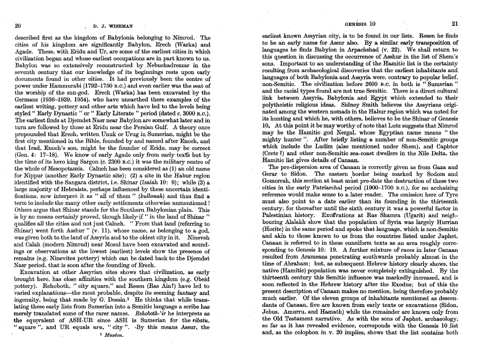described first as the kingdom of Babylonia belonging to Nimrod.' The cities of his kingdom. are significantly Babylon, Erech (Warka) and Agade. These, with Eridu and Ur, are some of the earliest cities in which civilization began and whose earliest occupations are in part known to us. Babylon was so extensively reconstructed by.Nebuchadrezzar in the seventh century that our knowledge of its beginnings rests upon early documents found in other cities. It had previously been the centre of power under Hammurabi *(1792-1750* B.O.) and even earlier was the seat of the worship of the sun-god. Erech (Warka) has been excavated by the Germans (1936-1939, 1954), who have unearthed there examples of the earliest writing, pottery and other arts which have led to the levels being styled" Early Dynastic" or " Early Literate" period (dated *c. 3000* B.O.). The earliest finds at Djemdet Nasr near Babylon are somewhat later and in turn are followed by those at Eridu near the Persian Gulf. A theory once propounded that Erech, written Unuk or Urug in Sumerian, might be the first city mentioned in the Bible, founded by and named after Enoch, and that Irad, Enoch's son, might be the founder of Eridu, may be correct (Gen. 4: 17-18). We know of early Agade only from early texts but by the time of its hero king Sargon (c. 2300 B.O.) it was the military centre of the whole of Mesopotamia. Calneh has been considered as (1) an old name for Nippur (another Early Dynastic site); (2) a site in the Habur region identified with the Sangara district, i.e. Shinar (Isaiah *10:* 9); while (3) a large majority of Hebraists, perhaps influenced by these uncertain identifications, now interpret it as " all of them" *(kullanah)* and thus find a term to include the many other early settlements otherwise unmentioned ! Others argue that Shinar stands for the Southern Babylonian plain. This is by no means certainly proved, though likely-if " in the land of Shinar " qualifies all the cities and not just Calneh. "From that land (referring to Shinar) went forth Asshur"  $(v. 11)$ , whose name, as belonging to a god, was given both to the land of Assyria and to the oldest city in it. Nineveh and Calah (modern Nimrud) near Mosul have been excavated and soundings or observations at the lowest (earliest) levels show the presence of remains (e.g. Ninevites pottery) which can be dated back to the Djemdet Nasr period, that is soon after the founding of Erech.

Excavation at other Assyrian sites shows that civilization, as early brought here, has close affinities with the southern kingdom (e.g. Obeid pottery). Rehoboth, "city square," and Resen (Ras Ain?) have led to varied explanations-the most probable, despite its seeming fantasy and ingenuity, being that made by G. Dossin.<sup>1</sup> He thinks that while translating these early lists from Sumerian into a Semitic language a scribe has merely translated some of the rarer names. Rehoboth-'ir he interprets as the equivalent of ASH-UR since ASH is Sumerian for the *ribatu*. " square", and UR equals *uru*, "city". "By this means Assur, the

<sup>1</sup>*Museon.* 

 $\sim 10^{10}$  m  $^{-1}$ 

 $\sim$   $\sim$ 

earliest known Assyrian city, is to be found in our lists. Resen he finds to be an early name for Assur also. By a similar early transposition of languages he finds Babylon in Arpachshad (v. 22). We shall return to this question in discussing the occurrence of Asshur in the list of Shem's sons. Important to an understanding of the Hamitic list is the certainty resulting from archaeological discoveries that the earliest inhabitants and. languages of both Babylonia and Assyria were, contrary to popular belief, non-Semitic. The civilization before 2600 B.O. in both is "Sumerian " and the racial types found are not true Semitic. There is a direct cultural link between Assyria, Babylonia and Egypt which extended to their polytheistic religious ideas. Sidney Smith believes the Assyrians originated among the western nomads in the Habur region which was noted for its hunting and which he, with others, believes to be the Shinar of Genesis 10. At this point it be may worthy of note that Lutz suggests that Nimrod may be the Hamitic god Nergal, whose Egyptian name means " the mighty hunter". After briefly listing a number of non-Semitic groups which include the Ludim (also mentioned under Shem), and Caphtor (Crete ?)and other non-Semitic sea-coast dwellers in the Nile Delta, the Hamitic list gives details of Canaan. '

The pre-dispersion area of Canaan is correctly given as from Gaza and Gerar to Sidon. The eastern border being marked by Sodom and Gomorrah, this section at least must pre-date the destruction of these two cities in the early Patriarchal period  $(1900-1700)$  B.C.), for no archaizing reference would make sense to a later reader. The omission here of Tyre must also point to a date earlier than its founding in the thirteenth century, for thereafter until the sixth century it was a powerful factor in Palestinian history. Excavations at Ras Shamra (Ugarit) and neighbouring Alalakh show that the population of Syria was largely Hurrian (Horite) in the same period and spoke that language, which is non-Semitic and akin to those known to us from the countries listed under Japhet. Canaan is referred to in these cuneiform texts as an area roughly corresponding to Genesis 10: 19. A further mixture of'racesin later Canaan resulted from Arameans penetrating southwards probably almost in the time of Abraham; but, as subsequent Hebrew history clearly shows, the native (Hamitic) population was never completely extinguished. By the thirteenth century this Semitic influence was markedly increased, and is soon reflected in the Hebrew history after the Exodus; but of this the present description of Canaan makes no mention, being therefore probably much earlier. Of the eleven groups of inhabitants mentioned as descendants of Canaan, five are known from early texts or excavations (Sidon, Jebus, Amurru, and Hamath) while the remainder are known only from the Old Testament narrative. As with the sons of Japhet, archaeology, so far as it has revealed evidence, corresponds with the Genesis 10 Jist and, as the colophon in v. 20 implies, shows that the list contains both

GENESIS 10 21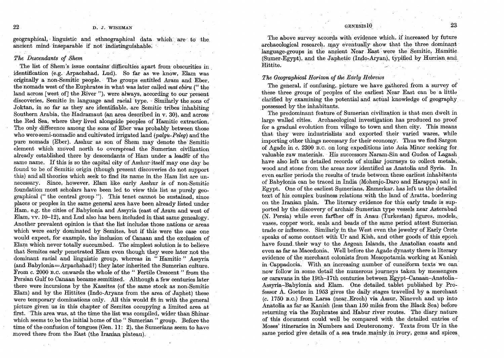## 22 D. J. WISEMAN

geographical, linguistic and ethnographical data which are to the ancient mind inseparable if not indistinguishable.

## *The Descendants of Shem*

The list of Shem's issue contains' difficulties apart from obscurities in identification (e.g. Arpachshad, Lud). So far as we know, Elam was originally a non-Semitic people. The groups entitled Aram and Eber, the nomads west ofthe Euphrates in what was later called *mat ebiru* (" the land across [west of] the River  $"$ ), were always, according to our present discoveries, Semitic in language and racial type. Similarly the sons of Joktan, in so far as they are identifiable, are Semitic tribes inhabiting Southern Arabia, the Hadramaut (an area described in v. 30), and across the Red Sea, where they lived alongside peoples of Hamitic extraction. The only difference among the sons of Eber was probably between those who were semi-nomadic and cultivated irrigated land *(palgu-Peleg)* and the pure nomads (Eber). Asshur as son of Shem may denote the Semitic element which moved north to overspread the Sumerian civilization already established there by descendants of Ham under a leader of the same name. If this is so the capital city of Asshur itself may one day be found to be of Semitic origin (though present discoveries do not support this) and all theories which seek to find its name in the Ham list are unnecessary. Since, however, Elam like early Asshur is of non-Semitic foundation most scholars have been led to view this list as purely geographical (" the central group "). This tenet cannot be sustained, since places or peoples in the same general area have been already listed under Ham, e.g. the cities of Babylonia and Assyria (east of Aram and west of Elam, vv. 10-12), and Lud also has been included in that same genealogy. Another prevalent opinion is that the list includes those nations or areas which were early dominated by Semites, but if this were the case one would expect, for example, the inclusion of Oanaan and the exclusion of Elam which never totally succumbed. The simplest solution is to believe that Semites early penetrated Elam even though they were later not the dominant racial and linguistic group, whereas in "Hamitic" Assyria (and Babylonia=Arpachshad?) they later inherited the Sumerian culture. From c. 2000 B.C. onwards the whole of the " Fertile Crescent " from the Persian Gulf to Oanaan became semitized. Although a few centuries later there were incursions by the Kassites (of the same stock as non~Semitic Elam) and by the Hittites (Indo-Aryans from the area of Japhet) these were temporary dominations only. All this would fit in with the general picture given' us in this chapter of Semites occupying a limited area at first. 'This area was, at the time the list was compiled, wider than Shinar which seems to be the initial home of the "Sumerian" group. Before the time of the confusion of tongues (Gen. ll: 2), the Sumerians seem to have moved there from the East (the Iranian plateau).

The above survey accords with evidence which, if increased by future archaeological research, may eventually show that the three dominant language-groups in the ancient Near East were the Semitic, Hamitic  $(Sumer-Egvpt)$ , and the Japhetic (Indo-Aryan), typified by Hurrian and, Hittite. The second contract of the second contract of the second contract of the second contract of the second

# **The Geographical Horizon of the Early Hebrews**

The general, if confusing, picture we have gathered from a survey of these three groups of peoples of the earliest Near East can be a little clarified by examining the potential and actual knowledge of geography possessed by the inhabitants.

The predominant feature of Sumerian civilization is that men dwelt in large walled cities. Archaeological investigation has produced no proof for a gradual evolution from village to town and then city. This means that they were industrialists and exported their varied wares, while importing other things necessary for their economy. Thus we find Sargon of Agade in c. 2300 B.C. on long expeditions into Asia Minor seeking for. valuable raw materials. His successors Naram-Sin and Gudea of Lagash have also left us detailed records of similar journeys to collect metals, wood and stone from the areas now identified as Anatolia and Syria. In even earlier periods the results of trade between these earliest inhabitants of Babylonia can be traced in India (Mohenjo-Daro and Harappa) and in Egypt. One of the earliest Sumerians, Enmerkar, has left us the detailed text of his complex business relations with the land of Aratta, bordering on the Iranian plain. The literary evidence for this early trade issupported by the discovery of archaic Sumerian type vessels near Asterabad  $(N.$  Persia) while even farther off in Anau (Turkestan) figures, models, vases, copper work, seals and beads of the same period attest Sumerian trade or influence. Similarly in the West even the jewelry of Early Crete speaks of some contact with Ur and Kish, and other goods of this epoch have found their way to the Aegean Islands, the Anatolian coasts and even as far as Macedonia. Well before the Agade dynasty there is literary evidence of the merchant colonists from Mesopotamia working at Kanish in Oappadoeia. With an increasing number of cuneiform texts we can' now follow in some detail the numerous journeys taken by messengers or caravans in the 19th-17th centuries between Egypt-Canaan-Anatolia-Assyria:-Babylonia and Elam. One detailed tablet published by Professor A. Goetze in 1953 gives the daily stages travelled by a merchant  $(c. 1750~\text{B.C.})$  from Larsa (near Erech) via Assur, Nineveh and up into Anatolia as far as Kanish (less than 150 miles from the Black Sea) before returning. via the Euphrates and Habur river routes. 'The diary nature of this document could well be compared with the detailed entries ·of Moses' itineraries in Numbers and Deuteronomy. Texts from Ur in the same period give details of a sea trade mainly in ivory, gems and spices,